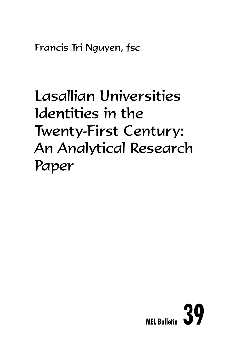Francis Tri Nguyen, fsc

# Lasallian Universities Identities in the Twenty-First Century: An Analytical Research Paper

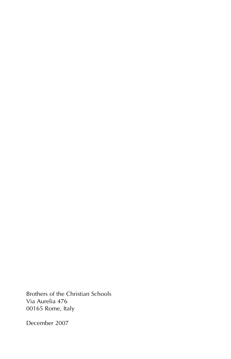Brothers of the Christian Schools Via Aurelia 476 00165 Rome, Italy

December 2007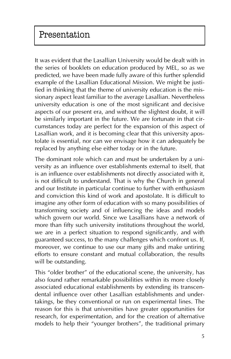It was evident that the Lasallian University would be dealt with in the series of booklets on education produced by MEL, so as we predicted, we have been made fully aware of this further splendid example of the Lasallian Educational Mission. We might be justified in thinking that the theme of university education is the missionary aspect least familiar to the average Lasallian. Nevertheless university education is one of the most significant and decisive aspects of our present era, and without the slightest doubt, it will be similarly important in the future. We are fortunate in that circumstances today are perfect for the expansion of this aspect of Lasallian work, and it is becoming clear that this university apostolate is essential, nor can we envisage how it can adequately be replaced by anything else either today or in the future.

The dominant role which can and must be undertaken by a university as an influence over establishments external to itself, that is an influence over establishments not directly associated with it, is not difficult to understand. That is why the Church in general and our Institute in particular continue to further with enthusiasm and conviction this kind of work and apostolate. It is difficult to imagine any other form of education with so many possibilities of transforming society and of influencing the ideas and models which govern our world. Since we Lasallians have a network of more than fifty such university institutions throughout the world, we are in a perfect situation to respond significantly, and with guaranteed success, to the many challenges which confront us. If, moreover, we continue to use our many gifts and make untiring efforts to ensure constant and mutual collaboration, the results will be outstanding.

This "older brother" of the educational scene, the university, has also found rather remarkable possibilities within its more closely associated educational establishments by extending its transcendental influence over other Lasallian establishments and undertakings, be they conventional or run on experimental lines. The reason for this is that universities have greater opportunities for research, for experimentation, and for the creation of alternative models to help their "younger brothers", the traditional primary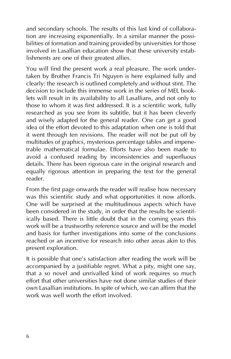and secondary schools. The results of this last kind of collaboration are increasing exponentially. In a similar manner the possibilities of formation and training provided by universities for those involved in Lasallian education show that these university establishments are one of their greatest allies.

You will find the present work a real pleasure. The work undertaken by Brother Francis Tri Nguyen is here explained fully and clearly: the research is outlined completely and without stint. The decision to include this immense work in the series of MEL booklets will result in its availability to all Lasallians, and not only to those to whom it was first addressed. It is a scientific work, fully researched as you see from its subtitle, but it has been cleverly and wisely adapted for the general reader. One can get a good idea of the effort devoted to this adaptation when one is told that it went through ten revisions. The reader will not be put off by multitudes of graphics, mysterious percentage tables and impenetrable mathematical formulae. Efforts have also been made to avoid a confused reading by inconsistencies and superfluous details. There has been rigorous care in the original research and equally rigorous attention in preparing the text for the general reader.

From the first page onwards the reader will realise how necessary was this scientific study and what opportunities it now affords. One will be surprised at the multitudinous aspects which have been considered in the study, in order that the results be scientifically based. There is little doubt that in the coming years this work will be a trustworthy reference source and will be the model and basis for further investigations into some of the conclusions reached or an incentive for research into other areas akin to this present exploration.

It is possible that one's satisfaction after reading the work will be accompanied by a justifiable regret. What a pity, might one say, that a so novel and unrivalled kind of work requires so much effort that other universities have not done similar studies of their own Lasallian institutions. In spite of which, we can affirm that the work was well worth the effort involved.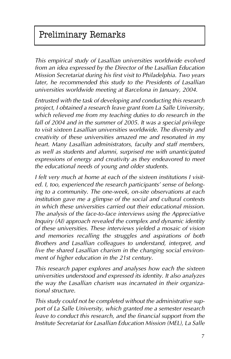# Preliminary Remarks

*This empirical study of Lasallian universities worldwide evolved from an idea expressed by the Director of the Lasallian Education Mission Secretariat during his first visit to Philadelphia. Two years later, he recommended this study to the Presidents of Lasallian universities worldwide meeting at Barcelona in January, 2004.*

*Entrusted with the task of developing and conducting this research project, I obtained a research leave grant from La Salle University, which relieved me from my teaching duties to do research in the fall of 2004 and in the summer of 2005. It was a special privilege to visit sixteen Lasallian universities worldwide. The diversity and creativity of these universities amazed me and resonated in my heart. Many Lasallian administrators, faculty and staff members, as well as students and alumni, surprised me with unanticipated expressions of energy and creativity as they endeavored to meet the educational needs of young and older students.*

*I felt very much at home at each of the sixteen institutions I visited. I, too, experienced the research participants' sense of belonging to a community. The one-week, on-site observations at each institution gave me a glimpse of the social and cultural contexts in which these universities carried out their educational mission. The analysis of the face-to-face interviews using the Appreciative Inquiry (AI) approach revealed the complex and dynamic identity of these universities. These interviews yielded a mosaic of vision and memories recalling the struggles and aspirations of both Brothers and Lasallian colleagues to understand, interpret, and live the shared Lasallian charism in the changing social environment of higher education in the 21st century.* 

*This research paper explores and analyses how each the sixteen universities understood and expressed its identity. It also analyzes the way the Lasallian charism was incarnated in their organizational structure.*

*This study could not be completed without the administrative support of La Salle University, which granted me a semester research leave to conduct this research, and the financial support from the Institute Secretariat for Lasallian Education Mission (MEL), La Salle*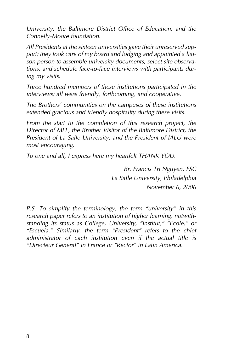*University, the Baltimore District Office of Education, and the Connelly-Moore foundation.*

*All Presidents at the sixteen universities gave their unreserved support; they took care of my board and lodging and appointed a liaison person to assemble university documents, select site observations, and schedule face-to-face interviews with participants during my visits.*

*Three hundred members of these institutions participated in the interviews; all were friendly, forthcoming, and cooperative.*

*The Brothers' communities on the campuses of these institutions extended gracious and friendly hospitality during these visits.* 

*From the start to the completion of this research project, the Director of MEL, the Brother Visitor of the Baltimore District, the President of La Salle University, and the President of IALU were most encouraging.* 

*To one and all, I express here my heartfelt THANK YOU.*

*Br. Francis Tri Nguyen, FSC La Salle University, Philadelphia November 6, 2006*

*P.S. To simplify the terminology, the term "university" in this research paper refers to an institution of higher learning, notwithstanding its status as College, University, "Institut," "Ecole," or "Escuela." Similarly, the term "President" refers to the chief administrator of each institution even if the actual title is "Directeur General" in France or "Rector" in Latin America.*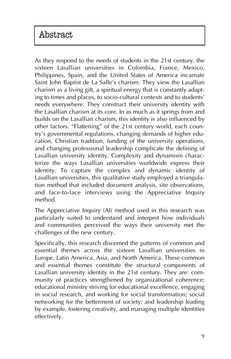# Abstract

As they respond to the needs of students in the 21st century, the sixteen Lasallian universities in Colombia, France, Mexico, Philippines, Spain, and the United States of America incarnate Saint John Baptist de La Salle's charism. They view the Lasallian charism as a living gift, a spiritual energy that is constantly adapting to times and places, to socio-cultural contexts and to students' needs everywhere. They construct their university identity with the Lasallian charism at its core. In as much as it springs from and builds on the Lasallian charism, this identity is also influenced by other factors. "Flattening" of the 21st century world, each country's governmental regulations, changing demands of higher education, Christian tradition, funding of the university operations, and changing professional leadership complicate the defining of Lasallian university identity. Complexity and dynamism characterize the ways Lasallian universities worldwide express their identity. To capture the complex and dynamic identity of Lasallian universities, this qualitative study employed a triangulation method that included document analysis, site observations, and face-to-face interviews using the Appreciative Inquiry method.

The Appreciative Inquiry (AI) method used in this research was particularly suited to understand and interpret how individuals and communities perceived the ways their university met the challenges of the new century.

Specifically, this research discerned the patterns of common and essential themes across the sixteen Lasallian universities in Europe, Latin America, Asia, and North America. These common and essential themes constitute the structural components of Lasallian university identity in the 21st century. They are: community of practices strengthened by organizational coherence; educational ministry striving for educational excellence, engaging in social research, and working for social transformation; social networking for the betterment of society; and leadership leading by example, fostering creativity, and managing multiple identities effectively.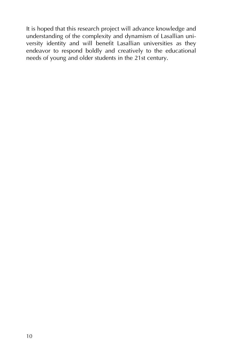It is hoped that this research project will advance knowledge and understanding of the complexity and dynamism of Lasallian university identity and will benefit Lasallian universities as they endeavor to respond boldly and creatively to the educational needs of young and older students in the 21st century.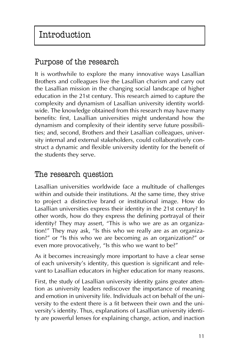# Purpose of the research

It is worthwhile to explore the many innovative ways Lasallian Brothers and colleagues live the Lasallian charism and carry out the Lasallian mission in the changing social landscape of higher education in the 21st century. This research aimed to capture the complexity and dynamism of Lasallian university identity worldwide. The knowledge obtained from this research may have many benefits: first, Lasallian universities might understand how the dynamism and complexity of their identity serve future possibilities; and, second, Brothers and their Lasallian colleagues, university internal and external stakeholders, could collaboratively construct a dynamic and flexible university identity for the benefit of the students they serve.

# The research question

Lasallian universities worldwide face a multitude of challenges within and outside their institutions. At the same time, they strive to project a distinctive brand or institutional image. How do Lasallian universities express their identity in the 21st century? In other words, how do they express the defining portrayal of their identity? They may assert, "This is who we are as an organization!" They may ask, "Is this who we really are as an organization?" or "Is this who we are becoming as an organization?" or even more provocatively, "Is this who we want to be?"

As it becomes increasingly more important to have a clear sense of each university's identity, this question is significant and relevant to Lasallian educators in higher education for many reasons.

First, the study of Lasallian university identity gains greater attention as university leaders rediscover the importance of meaning and emotion in university life. Individuals act on behalf of the university to the extent there is a fit between their own and the university's identity. Thus, explanations of Lasallian university identity are powerful lenses for explaining change, action, and inaction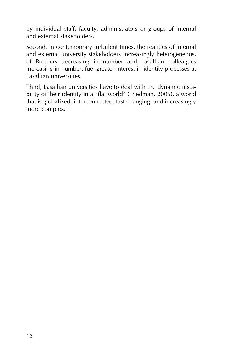by individual staff, faculty, administrators or groups of internal and external stakeholders.

Second, in contemporary turbulent times, the realities of internal and external university stakeholders increasingly heterogeneous, of Brothers decreasing in number and Lasallian colleagues increasing in number, fuel greater interest in identity processes at Lasallian universities.

Third, Lasallian universities have to deal with the dynamic instability of their identity in a "flat world" (Friedman, 2005), a world that is globalized, interconnected, fast changing, and increasingly more complex.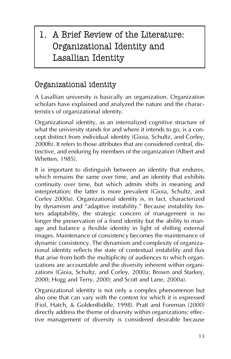# 1. A Brief Review of the Literature: Organizational Identity and Lasallian Identity

# Organizational identity

A Lasallian university is basically an organization. Organization scholars have explained and analyzed the nature and the characteristics of organizational identity.

Organizational identity, as an internalized cognitive structure of what the university stands for and where it intends to go, is a concept distinct from individual identity (Gioia, Schultz, and Corley, 2000b). It refers to those attributes that are considered central, distinctive, and enduring by members of the organization (Albert and Whetten, 1985).

It is important to distinguish between an identity that endures, which remains the same over time, and an identity that exhibits continuity over time, but which admits shifts in meaning and interpretation; the latter is more prevalent (Gioia, Schultz, and Corley 2000a). Organizational identity is, in fact, characterized by dynamism and "adaptive instability." Because instability fosters adaptability, the strategic concern of management is no longer the preservation of a fixed identity but the ability to manage and balance a flexible identity in light of shifting external images. Maintenance of consistency becomes the maintenance of dynamic consistency. The dynamism and complexity of organizational identity reflects the state of contextual instability and flux that arise from both the multiplicity of audiences to which organizations are accountable and the diversity inherent within organizations (Gioia, Schultz, and Corley, 2000a; Brown and Starkey, 2000; Hogg and Terry, 2000; and Scott and Lane, 2000a).

Organizational identity is not only a complex phenomenon but also one that can vary with the context for which it is expressed (Fiol, Hatch, & GoldenBiddle, 1998). Pratt and Foreman (2000) directly address the theme of diversity within organizations; effective management of diversity is considered desirable because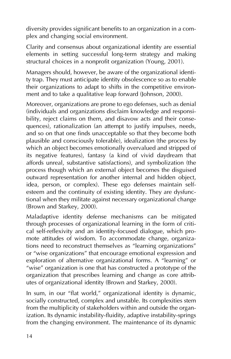diversity provides significant benefits to an organization in a complex and changing social environment.

Clarity and consensus about organizational identity are essential elements in setting successful long-term strategy and making structural choices in a nonprofit organization (Young, 2001).

Managers should, however, be aware of the organizational identity trap. They must anticipate identity obsolescence so as to enable their organizations to adapt to shifts in the competitive environment and to take a qualitative leap forward (Johnson, 2000).

Moreover, organizations are prone to ego defenses, such as denial (individuals and organizations disclaim knowledge and responsibility, reject claims on them, and disavow acts and their consequences), rationalization (an attempt to justify impulses, needs, and so on that one finds unacceptable so that they become both plausible and consciously tolerable), idealization (the process by which an object becomes emotionally overvalued and stripped of its negative features), fantasy (a kind of vivid daydream that affords unreal, substantive satisfactions), and symbolization (the process though which an external object becomes the disguised outward representation for another internal and hidden object, idea, person, or complex). These ego defenses maintain selfesteem and the continuity of existing identity. They are dysfunctional when they militate against necessary organizational change (Brown and Starkey, 2000).

Maladaptive identity defense mechanisms can be mitigated through processes of organizational learning in the form of critical self-reflexivity and an identity-focused dialogue, which promote attitudes of wisdom. To accommodate change, organizations need to reconstruct themselves as "learning organizations" or "wise organizations" that encourage emotional expression and exploration of alternative organizational forms. A "learning" or "wise" organization is one that has constructed a prototype of the organization that prescribes learning and change as core attributes of organizational identity (Brown and Starkey, 2000).

In sum, in our "flat world," organizational identity is dynamic, socially constructed, complex and unstable. Its complexities stem from the multiplicity of stakeholders within and outside the organization. Its dynamic instability-fluidity, adaptive instability-springs from the changing environment. The maintenance of its dynamic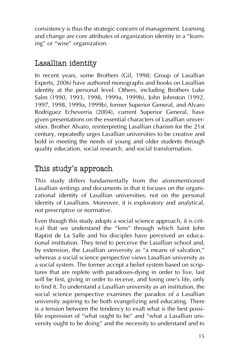consistency is thus the strategic concern of management. Learning and change are core attributes of organization identity in a "learning" or "wise" organization.

# Lasallian identity

In recent years, some Brothers (Gil, 1998; Group of Lasallian Experts, 2006) have authored monographs and books on Lasallian identity at the personal level. Others, including Brothers Luke Salm (1990, 1993, 1998, 1999a, 1999b), John Johnston (1992, 1997, 1998, 1999a, 1999b), former Superior General, and Alvaro Rodriguez Echeverria (2004), current Superior General, have given presentations on the essential characters of Lasallian universities. Brother Alvaro, reinterpreting Lasallian charism for the 21st century, repeatedly urges Lasallian universities to be creative and bold in meeting the needs of young and older students through quality education, social research, and social transformation.

# This study's approach

This study differs fundamentally from the aforementioned Lasallian writings and documents in that it focuses on the organizational identity of Lasallian universities, not on the personal identity of Lasallians. Moreover, it is exploratory and analytical, not prescriptive or normative.

Even though this study adopts a social science approach, it is critical that we understand the "lens" through which Saint John Baptist de La Salle and his disciples have perceived an educational institution. They tend to perceive the Lasallian school and, by extension, the Lasallian university as "a means of salvation," whereas a social science perspective views Lasallian university as a social system. The former accept a belief system based on scriptures that are replete with paradoxes-dying in order to live, last will be first, giving in order to receive, and losing one's life, only to find it. To understand a Lasallian university as an institution, the social science perspective examines the paradox of a Lasallian university aspiring to be both evangelizing and educating. There is a tension between the tendency to exalt what is the best possible expression of "what ought to be" and "what a Lasallian university ought to be doing" and the necessity to understand and to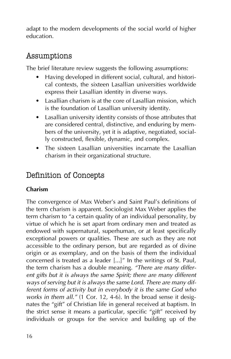adapt to the modern developments of the social world of higher education.

### Assumptions

The brief literature review suggests the following assumptions:

- Having developed in different social, cultural, and historical contexts, the sixteen Lasallian universities worldwide express their Lasallian identity in diverse ways.
- Lasallian charism is at the core of Lasallian mission, which is the foundation of Lasallian university identity.
- Lasallian university identity consists of those attributes that are considered central, distinctive, and enduring by members of the university, yet it is adaptive, negotiated, socially constructed, flexible, dynamic, and complex.
- The sixteen Lasallian universities incarnate the Lasallian charism in their organizational structure.

### Definition of Concepts

#### **Charism**

The convergence of Max Weber's and Saint Paul's definitions of the term charism is apparent. Sociologist Max Weber applies the term charism to "a certain quality of an individual personality, by virtue of which he is set apart from ordinary men and treated as endowed with supernatural, superhuman, or at least specifically exceptional powers or qualities. These are such as they are not accessible to the ordinary person, but are regarded as of divine origin or as exemplary, and on the basis of them the individual concerned is treated as a leader [...]" In the writings of St. Paul, the term charism has a double meaning. *"There are many different gifts but it is always the same Spirit; there are many different ways of serving but it is always the same Lord. There are many different forms of activity but in everybody it is the same God who works in them all."* (1 Cor. 12, 4-6). In the broad sense it designates the "gift" of Christian life in general received at baptism. In the strict sense it means a particular, specific "gift" received by individuals or groups for the service and building up of the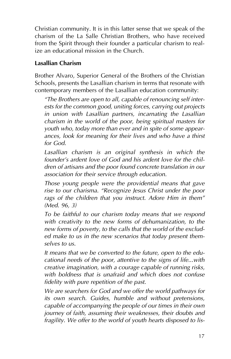Christian community. It is in this latter sense that we speak of the charism of the La Salle Christian Brothers, who have received from the Spirit through their founder a particular charism to realize an educational mission in the Church.

#### **Lasallian Charism**

Brother Alvaro, Superior General of the Brothers of the Christian Schools, presents the Lasallian charism in terms that resonate with contemporary members of the Lasallian education community:

*"The Brothers are open to all, capable of renouncing self interests for the common good, uniting forces, carrying out projects in union with Lasallian partners, incarnating the Lasallian charism in the world of the poor, being spiritual masters for youth who, today more than ever and in spite of some appearances, look for meaning for their lives and who have a thirst for God.*

*Lasallian charism is an original synthesis in which the founder's ardent love of God and his ardent love for the children of artisans and the poor found concrete translation in our association for their service through education.*

*Those young people were the providential means that gave rise to our charisma. "Recognize Jesus Christ under the poor rags of the children that you instruct. Adore Him in them" (Med. 96, 3)*

*To be faithful to our charism today means that we respond with creativity to the new forms of dehumanization, to the new forms of poverty, to the calls that the world of the excluded make to us in the new scenarios that today present themselves to us.*

*It means that we be converted to the future, open to the educational needs of the poor, attentive to the signs of life...with creative imagination, with a courage capable of running risks, with boldness that is unafraid and which does not confuse fidelity with pure repetition of the past.* 

*We are searchers for God and we offer the world pathways for its own search. Guides, humble and without pretensions, capable of accompanying the people of our times in their own journey of faith, assuming their weaknesses, their doubts and fragility. We offer to the world of youth hearts disposed to lis-*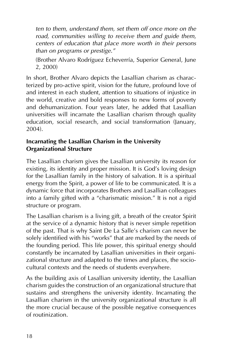*ten to them, understand them, set them off once more on the road, communities willing to receive them and guide them, centers of education that place more worth in their persons than on programs or prestige."* 

(Brother Alvaro Rodríguez Echeverría, Superior General, June 2, 2000)

In short, Brother Alvaro depicts the Lasallian charism as characterized by pro-active spirit, vision for the future, profound love of and interest in each student, attention to situations of injustice in the world, creative and bold responses to new forms of poverty and dehumanization. Four years later, he added that Lasallian universities will incarnate the Lasallian charism through quality education, social research, and social transformation (January, 2004).

#### **Incarnating the Lasallian Charism in the University Organizational Structure**

The Lasallian charism gives the Lasallian university its reason for existing, its identity and proper mission. It is God's loving design for the Lasallian family in the history of salvation. It is a spiritual energy from the Spirit, a power of life to be communicated. It is a dynamic force that incorporates Brothers and Lasallian colleagues into a family gifted with a "charismatic mission." It is not a rigid structure or program.

The Lasallian charism is a living gift, a breath of the creator Spirit at the service of a dynamic history that is never simple repetition of the past. That is why Saint De La Salle's charism can never be solely identified with his "works" that are marked by the needs of the founding period. This life power, this spiritual energy should constantly be incarnated by Lasallian universities in their organizational structure and adapted to the times and places, the sociocultural contexts and the needs of students everywhere.

As the building axis of Lasallian university identity, the Lasallian charism guides the construction of an organizational structure that sustains and strengthens the university identity. Incarnating the Lasallian charism in the university organizational structure is all the more crucial because of the possible negative consequences of routinization.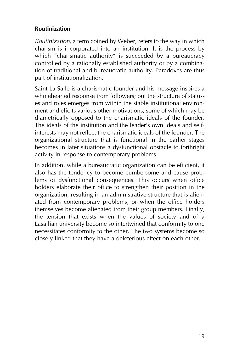#### **Routinization**

*Routinization*, a term coined by Weber, refers to the way in which charism is incorporated into an institution. It is the process by which "charismatic authority" is succeeded by a bureaucracy controlled by a rationally established authority or by a combination of traditional and bureaucratic authority. Paradoxes are thus part of institutionalization.

Saint La Salle is a charismatic founder and his message inspires a wholehearted response from followers; but the structure of statuses and roles emerges from within the stable institutional environment and elicits various other motivations, some of which may be diametrically opposed to the charismatic ideals of the founder. The ideals of the institution and the leader's own ideals and selfinterests may not reflect the charismatic ideals of the founder. The organizational structure that is functional in the earlier stages becomes in later situations a dysfunctional obstacle to forthright activity in response to contemporary problems.

In addition, while a bureaucratic organization can be efficient, it also has the tendency to become cumbersome and cause problems of dysfunctional consequences. This occurs when office holders elaborate their office to strengthen their position in the organization, resulting in an administrative structure that is alienated from contemporary problems, or when the office holders themselves become alienated from their group members. Finally, the tension that exists when the values of society and of a Lasallian university become so intertwined that conformity to one necessitates conformity to the other. The two systems become so closely linked that they have a deleterious effect on each other.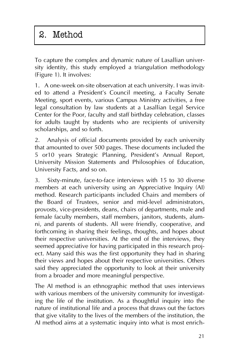# 2. Method

To capture the complex and dynamic nature of Lasallian university identity, this study employed a triangulation methodology (Figure 1). It involves:

1. A one-week on-site observation at each university. I was invited to attend a President's Council meeting, a Faculty Senate Meeting, sport events, various Campus Ministry activities, a free legal consultation by law students at a Lasallian Legal Service Center for the Poor, faculty and staff birthday celebration, classes for adults taught by students who are recipients of university scholarships, and so forth.

2. Analysis of official documents provided by each university that amounted to over 500 pages. These documents included the 5 or10 years Strategic Planning, President's Annual Report, University Mission Statements and Philosophies of Education, University Facts, and so on.

3. Sixty-minute, face-to-face interviews with 15 to 30 diverse members at each university using an Appreciative Inquiry (AI) method. Research participants included Chairs and members of the Board of Trustees, senior and mid-level administrators, provosts, vice-presidents, deans, chairs of departments, male and female faculty members, staff members, janitors, students, alumni, and parents of students. All were friendly, cooperative, and forthcoming in sharing their feelings, thoughts, and hopes about their respective universities. At the end of the interviews, they seemed appreciative for having participated in this research project. Many said this was the first opportunity they had in sharing their views and hopes about their respective universities. Others said they appreciated the opportunity to look at their university from a broader and more meaningful perspective.

The AI method is an ethnographic method that uses interviews with various members of the university community for investigating the life of the institution. As a thoughtful inquiry into the nature of institutional life and a process that draws out the factors that give vitality to the lives of the members of the institution, the AI method aims at a systematic inquiry into what is most enrich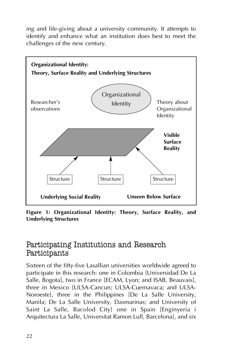ing and life-giving about a university community. It attempts to identify and enhance what an institution does best to meet the challenges of the new century.



**Figure 1: Organizational Identity: Theory, Surface Reality, and Underlying Structures**

### Participating Institutions and Research Participants

Sixteen of the fifty-five Lasallian universities worldwide agreed to participate in this research: one in Colombia [Universidad De La Salle, Bogota], two in France [ECAM, Lyon; and ISAB, Beauvais], three in Mexico [ULSA-Cancun; ULSA-Cuernavaca; and ULSA-Noroeste], three in the Philippines [De La Salle University, Manila; De La Salle University, Dasmarinas; and University of Saint La Salle, Bacolod City] one in Spain [Enginyeria i Arquitectura La Salle, Universitat Ramon Lull, Barcelona], and six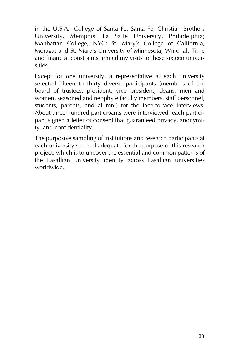in the U.S.A. [College of Santa Fe, Santa Fe; Christian Brothers University, Memphis; La Salle University, Philadelphia; Manhattan College, NYC; St. Mary's College of California, Moraga; and St. Mary's University of Minnesota, Winona]. Time and financial constraints limited my visits to these sixteen universities.

Except for one university, a representative at each university selected fifteen to thirty diverse participants (members of the board of trustees, president, vice president, deans, men and women, seasoned and neophyte faculty members, staff personnel, students, parents, and alumni) for the face-to-face interviews. About three hundred participants were interviewed; each participant signed a letter of consent that guaranteed privacy, anonymity, and confidentiality.

The purposive sampling of institutions and research participants at each university seemed adequate for the purpose of this research project, which is to uncover the essential and common patterns of the Lasallian university identity across Lasallian universities worldwide.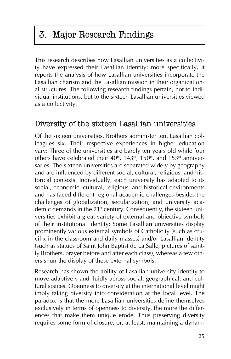# 3. Major Research Findings

This research describes how Lasallian universities as a collectivity have expressed their Lasallian identity; more specifically, it reports the analysis of how Lasallian universities incorporate the Lasallian charism and the Lasallian mission in their organizational structures. The following research findings pertain, not to individual institutions, but to the sixteen Lasallian universities viewed as a collectivity.

### Diversity of the sixteen Lasallian universities

Of the sixteen universities, Brothers administer ten, Lasallian colleagues six. Their respective experiences in higher education vary: Three of the universities are barely ten years old while four others have celebrated their  $40<sup>th</sup>$ ,  $143<sup>rd</sup>$ ,  $150<sup>th</sup>$ , and  $153<sup>rd</sup>$  anniversaries. The sixteen universities are separated widely by geography and are influenced by different social, cultural, religious, and historical contexts. Individually, each university has adapted to its social, economic, cultural, religious, and historical environments and has faced different regional academic challenges besides the challenges of globalization, secularization, and university academic demands in the 21<sup>st</sup> century. Consequently, the sixteen universities exhibit a great variety of external and objective symbols of their institutional identity: Some Lasallian universities display prominently various external symbols of Catholicity (such as crucifix in the classroom and daily masses) and/or Lasallian identity (such as statues of Saint John Baptist de La Salle, pictures of saintly Brothers, prayer before and after each class), whereas a few others shun the display of these external symbols.

Research has shown the ability of Lasallian university identity to move adaptively and fluidly across social, geographical, and cultural spaces. Openness to diversity at the international level might imply taking diversity into consideration at the local level. The paradox is that the more Lasallian universities define themselves exclusively in terms of openness to diversity, the more the differences that make them unique erode. Thus preserving diversity requires some form of closure, or, at least, maintaining a dynam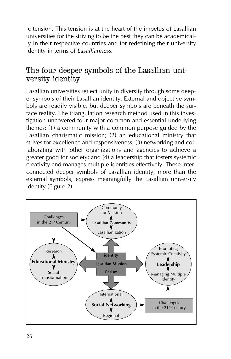ic tension. This tension is at the heart of the impetus of Lasallian universities for the striving to be the best they can be academically in their respective countries and for redefining their university identity in terms of *Lasallianness*.

### The four deeper symbols of the Lasallian university identity

Lasallian universities reflect unity in diversity through some deeper symbols of their Lasallian identity. External and objective symbols are readily visible, but deeper symbols are beneath the surface reality. The triangulation research method used in this investigation uncovered four major common and essential underlying themes: (1) a community with a common purpose guided by the Lasallian charismatic mission; (2) an educational ministry that strives for excellence and responsiveness; (3) networking and collaborating with other organizations and agencies to achieve a greater good for society; and (4) a leadership that fosters systemic creativity and manages multiple identities effectively. These interconnected deeper symbols of Lasallian identity, more than the external symbols, express meaningfully the Lasallian university identity (Figure 2).

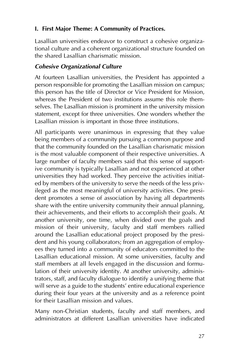#### **I. First Major Theme: A Community of Practices.**

Lasallian universities endeavor to construct a cohesive organizational culture and a coherent organizational structure founded on the shared Lasallian charismatic mission.

#### *Cohesive Organizational Culture*

At fourteen Lasallian universities, the President has appointed a person responsible for promoting the Lasallian mission on campus; this person has the title of Director or Vice President for Mission, whereas the President of two institutions assume this role themselves. The Lasallian mission is prominent in the university mission statement, except for three universities. One wonders whether the Lasallian mission is important in those three institutions.

All participants were unanimous in expressing that they value being members of a community pursuing a common purpose and that the community founded on the Lasallian charismatic mission is the most valuable component of their respective universities. A large number of faculty members said that this sense of supportive community is typically Lasallian and not experienced at other universities they had worked. They perceive the activities initiated by members of the university to serve the needs of the less privileged as the most meaningful of university activities. One president promotes a sense of association by having all departments share with the entire university community their annual planning, their achievements, and their efforts to accomplish their goals. At another university, one time, when divided over the goals and mission of their university, faculty and staff members rallied around the Lasallian educational project proposed by the president and his young collaborators; from an aggregation of employees they turned into a community of educators committed to the Lasallian educational mission. At some universities, faculty and staff members at all levels engaged in the discussion and formulation of their university identity. At another university, administrators, staff, and faculty dialogue to identify a unifying theme that will serve as a guide to the students' entire educational experience during their four years at the university and as a reference point for their Lasallian mission and values.

Many non-Christian students, faculty and staff members, and administrators at different Lasallian universities have indicated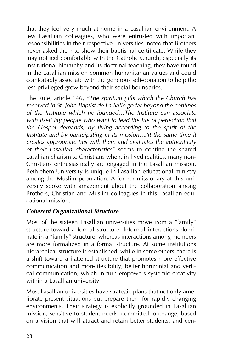that they feel very much at home in a Lasallian environment. A few Lasallian colleagues, who were entrusted with important responsibilities in their respective universities, noted that Brothers never asked them to show their baptismal certificate. While they may not feel comfortable with the Catholic Church, especially its institutional hierarchy and its doctrinal teaching, they have found in the Lasallian mission common humanitarian values and could comfortably associate with the generous self-donation to help the less privileged grow beyond their social boundaries.

The Rule, article 146, *"The spiritual gifts which the Church has received in St. John Baptist de La Salle go far beyond the confines of the Institute which he founded…The Institute can associate with itself lay people who want to lead the life of perfection that the Gospel demands, by living according to the spirit of the Institute and by participating in its mission…At the same time it creates appropriate ties with them and evaluates the authenticity of their Lasallian characteristics"* seems to confine the shared Lasallian charism to Christians when, in lived realities, many non-Christians enthusiastically are engaged in the Lasallian mission. Bethlehem University is unique in Lasallian educational ministry among the Muslim population. A former missionary at this university spoke with amazement about the collaboration among Brothers, Christian and Muslim colleagues in this Lasallian educational mission.

#### *Coherent Organizational Structure*

Most of the sixteen Lasallian universities move from a "family" structure toward a formal structure. Informal interactions dominate in a "family" structure, whereas interactions among members are more formalized in a formal structure. At some institutions hierarchical structure is established, while in some others, there is a shift toward a flattened structure that promotes more effective communication and more flexibility, better horizontal and vertical communication, which in turn empowers systemic creativity within a Lasallian university.

Most Lasallian universities have strategic plans that not only ameliorate present situations but prepare them for rapidly changing environments. Their strategy is explicitly grounded in Lasallian mission, sensitive to student needs, committed to change, based on a vision that will attract and retain better students, and cen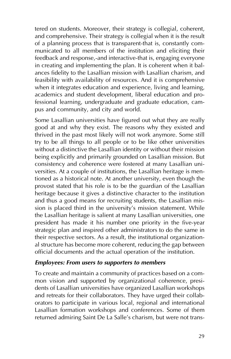tered on students. Moreover, their strategy is collegial, coherent, and comprehensive. Their strategy is collegial when it is the result of a planning process that is transparent-that is, constantly communicated to all members of the institution and eliciting their feedback and response,-and interactive-that is, engaging everyone in creating and implementing the plan. It is coherent when it balances fidelity to the Lasallian mission with Lasallian charism, and feasibility with availability of resources. And it is comprehensive when it integrates education and experience, living and learning, academics and student development, liberal education and professional learning, undergraduate and graduate education, campus and community, and city and world.

Some Lasallian universities have figured out what they are really good at and why they exist. The reasons why they existed and thrived in the past most likely will not work anymore. Some still try to be all things to all people or to be like other universities without a distinctive the Lasallian identity or without their mission being explicitly and primarily grounded on Lasallian mission. But consistency and coherence were fostered at many Lasallian universities. At a couple of institutions, the Lasallian heritage is mentioned as a historical note. At another university, even though the provost stated that his role is to be the guardian of the Lasallian heritage because it gives a distinctive character to the institution and thus a good means for recruiting students, the Lasallian mission is placed third in the university's mission statement. While the Lasallian heritage is salient at many Lasallian universities, one president has made it his number one priority in the five-year strategic plan and inspired other administrators to do the same in their respective sectors. As a result, the institutional organizational structure has become more coherent, reducing the gap between official documents and the actual operation of the institution.

#### *Employees: From users to supporters to members*

To create and maintain a community of practices based on a common vision and supported by organizational coherence, presidents of Lasallian universities have organized Lasallian workshops and retreats for their collaborators. They have urged their collaborators to participate in various local, regional and international Lasallian formation workshops and conferences. Some of them returned admiring Saint De La Salle's charism, but were not trans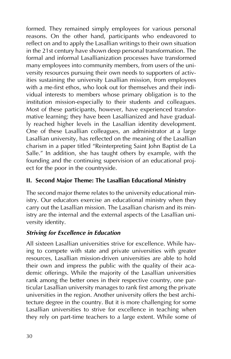formed. They remained simply employees for various personal reasons. On the other hand, participants who endeavored to reflect on and to apply the Lasallian writings to their own situation in the 21st century have shown deep personal transformation. The formal and informal Lasallianization processes have transformed many employees into community members, from users of the university resources pursuing their own needs to supporters of activities sustaining the university Lasallian mission, from employees with a me-first ethos, who look out for themselves and their individual interests to members whose primary obligation is to the institution mission-especially to their students and colleagues. Most of these participants, however, have experienced transformative learning; they have been Lasallianized and have gradually reached higher levels in the Lasallian identity development. One of these Lasallian colleagues, an administrator at a large Lasallian university, has reflected on the meaning of the Lasallian charism in a paper titled "Reinterpreting Saint John Baptist de La Salle." In addition, she has taught others by example, with the founding and the continuing supervision of an educational project for the poor in the countryside.

#### **II. Second Major Theme: The Lasallian Educational Ministry**

The second major theme relates to the university educational ministry. Our educators exercise an educational ministry when they carry out the Lasallian mission. The Lasallian charism and its ministry are the internal and the external aspects of the Lasallian university identity.

#### *Striving for Excellence in Education*

All sixteen Lasallian universities strive for excellence. While having to compete with state and private universities with greater resources, Lasallian mission-driven universities are able to hold their own and impress the public with the quality of their academic offerings. While the majority of the Lasallian universities rank among the better ones in their respective country, one particular Lasallian university manages to rank first among the private universities in the region. Another university offers the best architecture degree in the country. But it is more challenging for some Lasallian universities to strive for excellence in teaching when they rely on part-time teachers to a large extent. While some of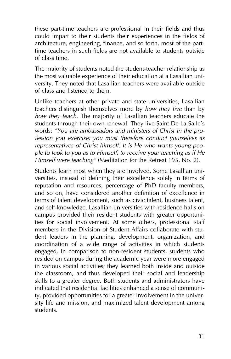these part-time teachers are professional in their fields and thus could impart to their students their experiences in the fields of architecture, engineering, finance, and so forth, most of the parttime teachers in such fields are not available to students outside of class time.

The majority of students noted the student-teacher relationship as the most valuable experience of their education at a Lasallian university. They noted that Lasallian teachers were available outside of class and listened to them.

Unlike teachers at other private and state universities, Lasallian teachers distinguish themselves more by *how they live* than by *how they teach*. The majority of Lasallian teachers educate the students through their own renewal. They live Saint De La Salle's words: *"You are ambassadors and ministers of Christ in the profession you exercise; you must therefore conduct yourselves as representatives of Christ himself. It is He who wants young people to look to you as to Himself, to receive your teaching as if He Himself were teaching"* (Meditation for the Retreat 195, No. 2).

Students learn most when they are involved. Some Lasallian universities, instead of defining their excellence solely in terms of reputation and resources, percentage of PhD faculty members, and so on, have considered another definition of excellence in terms of talent development, such as civic talent, business talent, and self-knowledge. Lasallian universities with residence halls on campus provided their resident students with greater opportunities for social involvement. At some others, professional staff members in the Division of Student Affairs collaborate with student leaders in the planning, development, organization, and coordination of a wide range of activities in which students engaged. In comparison to non-resident students, students who resided on campus during the academic year were more engaged in various social activities; they learned both inside and outside the classroom, and thus developed their social and leadership skills to a greater degree. Both students and administrators have indicated that residential facilities enhanced a sense of community, provided opportunities for a greater involvement in the university life and mission, and maximized talent development among students.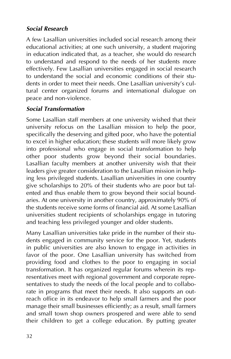#### *Social Research*

A few Lasallian universities included social research among their educational activities; at one such university, a student majoring in education indicated that, as a teacher, she would do research to understand and respond to the needs of her students more effectively. Few Lasallian universities engaged in social research to understand the social and economic conditions of their students in order to meet their needs. One Lasallian university's cultural center organized forums and international dialogue on peace and non-violence.

#### *Social Transformation*

Some Lasallian staff members at one university wished that their university refocus on the Lasallian mission to help the poor, specifically the deserving and gifted poor, who have the potential to excel in higher education; these students will more likely grow into professional who engage in social transformation to help other poor students grow beyond their social boundaries. Lasallian faculty members at another university wish that their leaders give greater consideration to the Lasallian mission in helping less privileged students. Lasallian universities in one country give scholarships to 20% of their students who are poor but talented and thus enable them to grow beyond their social boundaries. At one university in another country, approximately 90% of the students receive some forms of financial aid. At some Lasallian universities student recipients of scholarships engage in tutoring and teaching less privileged younger and older students.

Many Lasallian universities take pride in the number of their students engaged in community service for the poor. Yet, students in public universities are also known to engage in activities in favor of the poor. One Lasallian university has switched from providing food and clothes to the poor to engaging in social transformation. It has organized regular forums wherein its representatives meet with regional government and corporate representatives to study the needs of the local people and to collaborate in programs that meet their needs. It also supports an outreach office in its endeavor to help small farmers and the poor manage their small businesses efficiently; as a result, small farmers and small town shop owners prospered and were able to send their children to get a college education. By putting greater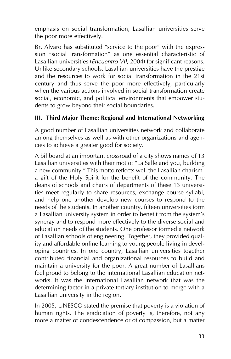emphasis on social transformation, Lasallian universities serve the poor more effectively.

Br. Alvaro has substituted "service to the poor" with the expression "social transformation" as one essential characteristic of Lasallian universities (*Encuentro VII*, 2004) for significant reasons. Unlike secondary schools, Lasallian universities have the prestige and the resources to work for social transformation in the 21st century and thus serve the poor more effectively, particularly when the various actions involved in social transformation create social, economic, and political environments that empower students to grow beyond their social boundaries.

#### **III. Third Major Theme: Regional and International Networking**

A good number of Lasallian universities network and collaborate among themselves as well as with other organizations and agencies to achieve a greater good for society.

A billboard at an important crossroad of a city shows names of 13 Lasallian universities with their motto: "La Salle and you, building a new community." This motto reflects well the Lasallian charisma gift of the Holy Spirit for the benefit of the community. The deans of schools and chairs of departments of these 13 universities meet regularly to share resources, exchange course syllabi, and help one another develop new courses to respond to the needs of the students. In another country, fifteen universities form a Lasallian university system in order to benefit from the system's synergy and to respond more effectively to the diverse social and education needs of the students. One professor formed a network of Lasallian schools of engineering. Together, they provided quality and affordable online learning to young people living in developing countries. In one country, Lasallian universities together contributed financial and organizational resources to build and maintain a university for the poor. A great number of Lasallians feel proud to belong to the international Lasallian education networks. It was the international Lasallian network that was the determining factor in a private tertiary institution to merge with a Lasallian university in the region.

In 2005, UNESCO stated the premise that poverty is a violation of human rights. The eradication of poverty is, therefore, not any more a matter of condescendence or of compassion, but a matter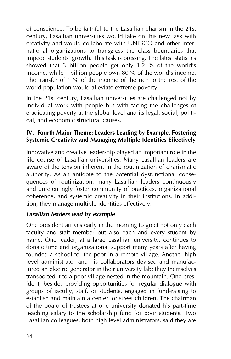of conscience. To be faithful to the Lasallian charism in the 21st century, Lasallian universities would take on this new task with creativity and would collaborate with UNESCO and other international organizations to transgress the class boundaries that impede students' growth. This task is pressing. The latest statistics showed that 3 billion people get only  $1.2$  % of the world's income, while 1 billion people own 80 % of the world's income. The transfer of 1 % of the income of the rich to the rest of the world population would alleviate extreme poverty.

In the 21st century, Lasallian universities are challenged not by individual work with people but with facing the challenges of eradicating poverty at the global level and its legal, social, political, and economic structural causes.

#### **IV. Fourth Major Theme: Leaders Leading by Example, Fostering Systemic Creativity and Managing Multiple Identities Effectively**

Innovative and creative leadership played an important role in the life course of Lasallian universities. Many Lasallian leaders are aware of the tension inherent in the routinization of charismatic authority. As an antidote to the potential dysfunctional consequences of routinization, many Lasallian leaders continuously and unrelentingly foster community of practices, organizational coherence, and systemic creativity in their institutions. In addition, they manage multiple identities effectively.

#### *Lasallian leaders lead by example*

One president arrives early in the morning to greet not only each faculty and staff member but also each and every student by name. One leader, at a large Lasallian university, continues to donate time and organizational support many years after having founded a school for the poor in a remote village. Another high level administrator and his collaborators devised and manufactured an electric generator in their university lab; they themselves transported it to a poor village nested in the mountain. One president, besides providing opportunities for regular dialogue with groups of faculty, staff, or students, engaged in fund-raising to establish and maintain a center for street children. The chairman of the board of trustees at one university donated his part-time teaching salary to the scholarship fund for poor students. Two Lasallian colleagues, both high level administrators, said they are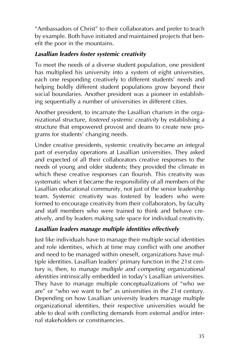"Ambassadors of Christ" to their collaborators and prefer to teach by example. Both have initiated and maintained projects that benefit the poor in the mountains.

#### *Lasallian leaders foster systemic creativity*

To meet the needs of a diverse student population, one president has multiplied his university into a system of eight universities, each one responding creatively to different students' needs and helping boldly different student populations grow beyond their social boundaries. Another president was a pioneer in establishing sequentially a number of universities in different cities.

Another president, to incarnate the Lasallian charism in the organizational structure, *fostered systemic creativity* by establishing a structure that empowered provost and deans to create new programs for students' changing needs.

Under creative presidents, systemic creativity became an integral part of everyday operations at Lasallian universities. They asked and expected of all their collaborators creative responses to the needs of young and older students; they provided the climate in which these creative responses can flourish. This creativity was systematic when it became the responsibility of all members of the Lasallian educational community, not just of the senior leadership team. Systemic creativity was fostered by leaders who were formed to encourage creativity from their collaborators, by faculty and staff members who were trained to think and behave creatively, and by leaders making safe space for individual creativity.

#### *Lasallian leaders manage multiple identities effectively*

Just like individuals have to manage their multiple social identities and role identities, which at time may conflict with one another and need to be managed within oneself, organizations have multiple identities. Lasallian leaders' primary function in the 21st century is, then, to *manage multiple and competing organizational identities* intrinsically embedded in today's Lasallian universities. They have to manage multiple conceptualizations of "who we are" or "who we want to be" as universities in the 21st century. Depending on how Lasallian university leaders manage multiple organizational identities, their respective universities would be able to deal with conflicting demands from external and/or internal stakeholders or constituencies.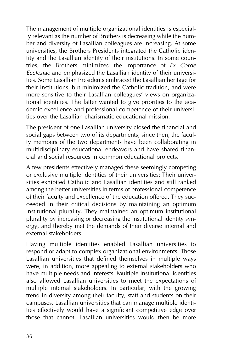The management of multiple organizational identities is especially relevant as the number of Brothers is decreasing while the number and diversity of Lasallian colleagues are increasing. At some universities, the Brothers Presidents integrated the Catholic identity and the Lasallian identity of their institutions. In some countries, the Brothers minimized the importance of *Ex Corde Ecclesiae* and emphasized the Lasallian identity of their universities. Some Lasallian Presidents embraced the Lasallian heritage for their institutions, but minimized the Catholic tradition, and were more sensitive to their Lasallian colleagues' views on organizational identities. The latter wanted to give priorities to the academic excellence and professional competence of their universities over the Lasallian charismatic educational mission.

The president of one Lasallian university closed the financial and social gaps between two of its departments; since then, the faculty members of the two departments have been collaborating in multidisciplinary educational endeavors and have shared financial and social resources in common educational projects.

A few presidents effectively managed these seemingly competing or exclusive multiple identities of their universities: Their universities exhibited Catholic and Lasallian identities and still ranked among the better universities in terms of professional competence of their faculty and excellence of the education offered. They succeeded in their critical decisions by maintaining an optimum institutional plurality. They maintained an optimum institutional plurality by increasing or decreasing the institutional identity synergy, and thereby met the demands of their diverse internal and external stakeholders.

Having multiple identities enabled Lasallian universities to respond or adapt to complex organizational environments. Those Lasallian universities that defined themselves in multiple ways were, in addition, more appealing to external stakeholders who have multiple needs and interests. Multiple institutional identities also allowed Lasallian universities to meet the expectations of multiple internal stakeholders. In particular, with the growing trend in diversity among their faculty, staff and students on their campuses, Lasallian universities that can manage multiple identities effectively would have a significant competitive edge over those that cannot. Lasallian universities would then be more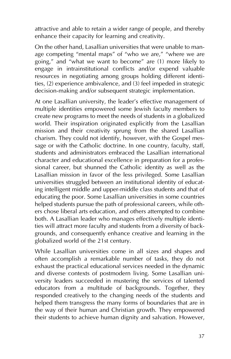attractive and able to retain a wider range of people, and thereby enhance their capacity for learning and creativity.

On the other hand, Lasallian universities that were unable to manage competing "mental maps" of "who we are," "where we are going," and "what we want to become" are (1) more likely to engage in intrainstitutional conflicts and/or expend valuable resources in negotiating among groups holding different identities, (2) experience ambivalence, and (3) feel impeded in strategic decision-making and/or subsequent strategic implementation.

At one Lasallian university, the leader's effective management of multiple identities empowered some Jewish faculty members to create new programs to meet the needs of students in a globalized world. Their inspiration originated explicitly from the Lasallian mission and their creativity sprung from the shared Lasallian charism. They could not identify, however, with the Gospel message or with the Catholic doctrine. In one country, faculty, staff, students and administrators embraced the Lasallian international character and educational excellence in preparation for a professional career, but shunned the Catholic identity as well as the Lasallian mission in favor of the less privileged. Some Lasallian universities struggled between an institutional identity of educating intelligent middle and upper-middle class students and that of educating the poor. Some Lasallian universities in some countries helped students pursue the path of professional careers, while others chose liberal arts education, and others attempted to combine both. A Lasallian leader who manages effectively multiple identities will attract more faculty and students from a diversity of backgrounds, and consequently enhance creative and learning in the globalized world of the 21st century.

While Lasallian universities come in all sizes and shapes and often accomplish a remarkable number of tasks, they do not exhaust the practical educational services needed in the dynamic and diverse contexts of postmodern living. Some Lasallian university leaders succeeded in mustering the services of talented educators from a multitude of backgrounds. Together, they responded creatively to the changing needs of the students and helped them transgress the many forms of boundaries that are in the way of their human and Christian growth. They empowered their students to achieve human dignity and salvation. However,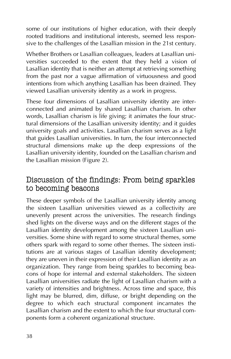some of our institutions of higher education, with their deeply rooted traditions and institutional interests, seemed less responsive to the challenges of the Lasallian mission in the 21st century.

Whether Brothers or Lasallian colleagues, leaders at Lasallian universities succeeded to the extent that they held a vision of Lasallian identity that is neither an attempt at retrieving something from the past nor a vague affirmation of virtuousness and good intentions from which anything Lasallian has been drained. They viewed Lasallian university identity as a work in progress.

These four dimensions of Lasallian university identity are interconnected and animated by shared Lasallian charism. In other words, Lasallian charism is life giving; it animates the four structural dimensions of the Lasallian university identity; and it guides university goals and activities. Lasallian charism serves as a light that guides Lasallian universities. In turn, the four interconnected structural dimensions make up the deep expressions of the Lasallian university identity, founded on the Lasallian charism and the Lasallian mission (Figure 2).

### Discussion of the findings: From being sparkles to becoming beacons

These deeper symbols of the Lasallian university identity among the sixteen Lasallian universities viewed as a collectivity are unevenly present across the universities. The research findings shed lights on the diverse ways and on the different stages of the Lasallian identity development among the sixteen Lasallian universities. Some shine with regard to some structural themes, some others spark with regard to some other themes. The sixteen institutions are at various stages of Lasallian identity development; they are uneven in their expression of their Lasallian identity as an organization. They range from being sparkles to becoming beacons of hope for internal and external stakeholders. The sixteen Lasallian universities radiate the light of Lasallian charism with a variety of intensities and brightness. Across time and space, this light may be blurred, dim, diffuse, or bright depending on the degree to which each structural component incarnates the Lasallian charism and the extent to which the four structural components form a coherent organizational structure.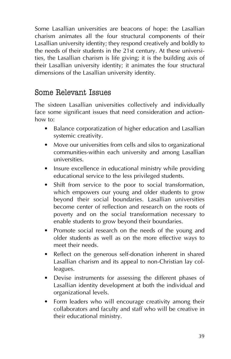Some Lasallian universities are beacons of hope: the Lasallian charism animates all the four structural components of their Lasallian university identity; they respond creatively and boldly to the needs of their students in the 21st century. At these universities, the Lasallian charism is life giving; it is the building axis of their Lasallian university identity; it animates the four structural dimensions of the Lasallian university identity.

### Some Relevant Issues

The sixteen Lasallian universities collectively and individually face some significant issues that need consideration and actionhow to:

- Balance corporatization of higher education and Lasallian systemic creativity.
- Move our universities from cells and silos to organizational communities-within each university and among Lasallian universities.
- Insure excellence in educational ministry while providing educational service to the less privileged students.
- Shift from service to the poor to social transformation, which empowers our young and older students to grow beyond their social boundaries. Lasallian universities become center of reflection and research on the roots of poverty and on the social transformation necessary to enable students to grow beyond their boundaries.
- Promote social research on the needs of the young and older students as well as on the more effective ways to meet their needs.
- Reflect on the generous self-donation inherent in shared Lasallian charism and its appeal to non-Christian lay colleagues.
- Devise instruments for assessing the different phases of Lasallian identity development at both the individual and organizational levels.
- Form leaders who will encourage creativity among their collaborators and faculty and staff who will be creative in their educational ministry.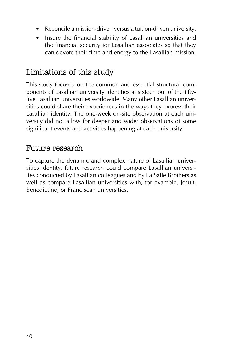- Reconcile a mission-driven versus a tuition-driven university.
- Insure the financial stability of Lasallian universities and the financial security for Lasallian associates so that they can devote their time and energy to the Lasallian mission.

# Limitations of this study

This study focused on the common and essential structural components of Lasallian university identities at sixteen out of the fiftyfive Lasallian universities worldwide. Many other Lasallian universities could share their experiences in the ways they express their Lasallian identity. The one-week on-site observation at each university did not allow for deeper and wider observations of some significant events and activities happening at each university.

### Future research

To capture the dynamic and complex nature of Lasallian universities identity, future research could compare Lasallian universities conducted by Lasallian colleagues and by La Salle Brothers as well as compare Lasallian universities with, for example, Jesuit, Benedictine, or Franciscan universities.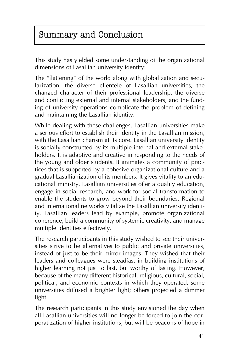# Summary and Conclusion

This study has yielded some understanding of the organizational dimensions of Lasallian university identity:

The "flattening" of the world along with globalization and secularization, the diverse clientele of Lasallian universities, the changed character of their professional leadership, the diverse and conflicting external and internal stakeholders, and the funding of university operations complicate the problem of defining and maintaining the Lasallian identity.

While dealing with these challenges, Lasallian universities make a serious effort to establish their identity in the Lasallian mission, with the Lasallian charism at its core. Lasallian university identity is socially constructed by its multiple internal and external stakeholders. It is adaptive and creative in responding to the needs of the young and older students. It animates a community of practices that is supported by a cohesive organizational culture and a gradual Lasallianization of its members. It gives vitality to an educational ministry. Lasallian universities offer a quality education, engage in social research, and work for social transformation to enable the students to grow beyond their boundaries. Regional and international networks vitalize the Lasallian university identity. Lasallian leaders lead by example, promote organizational coherence, build a community of systemic creativity, and manage multiple identities effectively.

The research participants in this study wished to see their universities strive to be alternatives to public and private universities, instead of just to be their mirror images. They wished that their leaders and colleagues were steadfast in building institutions of higher learning not just to last, but worthy of lasting. However, because of the many different historical, religious, cultural, social, political, and economic contexts in which they operated, some universities diffused a brighter light; others projected a dimmer light.

The research participants in this study envisioned the day when all Lasallian universities will no longer be forced to join the corporatization of higher institutions, but will be beacons of hope in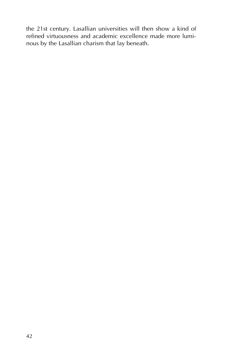the 21st century. Lasallian universities will then show a kind of refined virtuousness and academic excellence made more luminous by the Lasallian charism that lay beneath.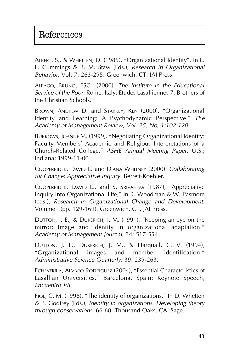ALBERT, S., & WHETTEN, D. (1985), "Organizational Identity". In L. L. Cummings & B. M. Staw (Eds.), *Research in Organizational Behavior*. Vol. 7: 263-295. Greenwich, CT: JAI Press.

ALPAGO, BRUNO, FSC (2000). *The Institute in the Educational Service of the Poor*. Rome, Italy: Etudes Lasalliennes 7, Brothers of the Christian Schools.

BROWN, ANDREW D. and STARKEY, KEN (2000). "Organizational Identity and Learning: A Psychodynamic Perspective." *The Academy of Management Review, Vol. 25, No, 1:102-120*.

BURROWS, JOANNE M. (1999). "Negotiating Organizational Identity: Faculty Members' Academic and Religious Interpretations of a Church-Related College." *ASHE Annual Meeting Paper*. U.S.; Indiana; 1999-11-00

COOPERRIDER, DAVID L. and DIANA WHITNEY (2000). *Collaborating for Change: Appreciative Inquiry*. Berrett-Koehler.

COOPERRIDER, DAVID L., and S. SRIVASTVA (1987), "Appreciative Inquiry into Organizational Life," in R. Woodman & W. Pasmore (eds.), *Research in Organizational Change and Development*: Volume I (pp. 129-169). Greenwich, CT, JAI Press.

DUTTON, J. E., & DUKERICH, J. M. (1991), "Keeping an eye on the mirror: Image and identity in organizational adaptation." *Academy of Management Journal*, 34: 517-554.

DUTTON, J. E., DUKERICH, J. M., & Harquail, C. V. (1994), "Organizational images and member identification." *Administrative Science Quarterly*, 39: 239-263.

ECHEVERRIA, ALVARO RODRIGUEZ (2004), "Essential Characteristics of Lasallian Universities." Barcelona, Spain: Keynote Speech, *Encuentro VII*.

FIOL, C. M. (1998), "The identity of organizations." In D. Whetten & P. Godfrey (Eds.), *Identity in organizations. Developing theory through conservations*: 66-68. Thousand Oaks, CA: Sage.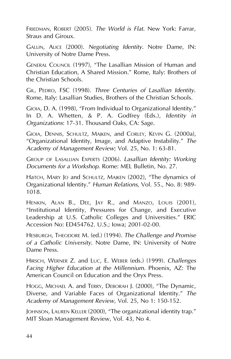FRIEDMAN, ROBERT (2005). *The World is Flat*. New York: Farrar, Straus and Giroux.

GALLIN, ALICE (2000). *Negotiating Identity*. Notre Dame, IN: University of Notre Dame Press.

GENERAL COUNCIL (1997), "The Lasallian Mission of Human and Christian Education, A Shared Mission." Rome, Italy: Brothers of the Christian Schools.

GIL, PEDRO, FSC (1998). *Three Centuries of Lasallian Identity*. Rome, Italy: Lasallian Studies, Brothers of the Christian Schools.

GIOIA, D. A. (1998), "From Individual to Organizational Identity." In D. A. Whetten, & P. A. Godfrey (Eds.), *Identity in Organizations*: 17-31. Thousand Oaks, CA: Sage.

GIOIA, DENNIS, SCHULTZ, MAJKEN, and CORLEY, KEVIN G. (2000a), "Organizational Identity, Image, and Adaptive Instability." *The Academy of Management Review*; Vol. 25, No. 1: 63-81.

GROUP OF LASALLIAN EXPERTS (2006). *Lasallian Identity: Working Documents for a Workshop*. Rome: MEL Bulletin, No. 27.

HaTCH, MARY JO and SCHULTZ, MAJKEN (2002), "The dynamics of Organizational Identity." *Human Relations*, Vol. 55., No. 8: 989- 1018.

HENKIN, ALAN B., DEE, JAY R., and MANZO, LOUIS (2001), "Institutional Identity, Pressures for Change, and Executive Leadership at U.S. Catholic Colleges and Universities." ERIC Accession No: ED454762. U.S.; Iowa; 2001-02-00.

HESBURGH, THEODORE M. (ed.) (1994). *The Challenge and Promise of a Catholic University*. Notre Dame, IN: University of Notre Dame Press.

HIRSCH, WERNER Z. and LUC, E. WEBER (eds.) (1999). *Challenges Facing Higher Education at the Millennium*. Phoenix, AZ: The American Council on Education and the Oryx Press.

HOGG, MICHAEL A. and TERRY, DEBORAH J. (2000), "The Dynamic, Diverse, and Variable Faces of Organizational Identity." *The Academy of Management Review*, Vol. 25, No 1: 150-152.

JOHNSON, LAUREN KELLER (2000), "The organizational identity trap." MIT Sloan Management Review, Vol. 43, No 4.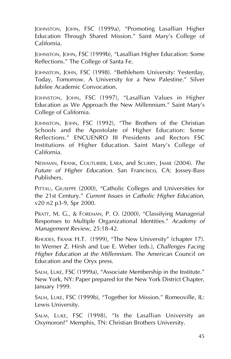JOHNSTON, JOHN, FSC (1999a), "Promoting Lasallian Higher Education Through Shared Mission." Saint Mary's College of California.

JOHNSTON, JOHN, FSC (1999b), "Lasallian Higher Education: Some Reflections." The College of Santa Fe.

JOHNSTON, JOHN, FSC (1998). "Bethlehem University: Yesterday, Today, Tomorrow. A University for a New Palestine." Silver Jubilee Academic Convocation.

JOHNSTON, JOHN, FSC (1997), "Lasallian Values in Higher Education as We Approach the New Millennium." Saint Mary's College of California.

JOHNSTON, JOHN, FSC (1992), "The Brothers of the Christian Schools and the Apostolate of Higher Education: Some Reflections." ENCUENRO III Presidents and Rectors FSC Institutions of Higher Education. Saint Mary's College of California.

NEWMAN, FRANK, COUTURIER, LARA, and SCURRY, JAMIE (2004). *The Future of Higher Education*. San Francisco, CA: Jossey-Bass Publishers.

PITTAU, GIUSEPPE (2000), "Catholic Colleges and Universities for the 21st Century." *Current Issues in Catholic Higher Education*, v20 n2 p3-9, Spr 2000.

PRATT, M. G., & FOREMAN, P. O. (2000), "Classifying Managerial Responses to Multiple Organizational Identities." *Academy of Management Review*, 25:18-42.

RHODES, FRANK H.T. (1999), "The New University" (chapter 17). In Werner Z. Hirsh and Lue E. Weber (eds.), *Challenges Facing Higher Education at the Millennium*. The American Council on Education and the Oryx press.

SALM, LUKE, FSC (1999a), "Associate Membership in the Institute." New York, NY: Paper prepared for the New York District Chapter, January 1999.

SALM, LUKE, FSC (1999b), "Together for Mission." Romeoville, IL: Lewis University.

SALM, LUKE, FSC (1998), "Is the Lasallian University an Oxymoron?" Memphis, TN: Christian Brothers University.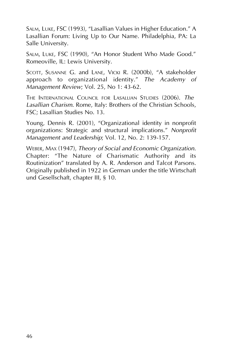SALM, LUKE, FSC (1993), "Lasallian Values in Higher Education." A Lasallian Forum: Living Up to Our Name. Philadelphia, PA: La Salle University.

SALM, LUKE, FSC (1990), "An Honor Student Who Made Good." Romeoville, IL: Lewis University.

SCOTT, SUSANNE G. and LANE, VICKI R. (2000b), "A stakeholder approach to organizational identity." *The Academy of Management Review*; Vol. 25, No 1: 43-62.

THE INTERNATIONAL COUNCIL FOR LASALLIAN STUDIES (2006). *The Lasallian Charism*. Rome, Italy: Brothers of the Christian Schools, FSC; Lasallian Studies No. 13.

Young, Dennis R. (2001), "Organizational identity in nonprofit organizations: Strategic and structural implications." *Nonprofit Management and Leadership*; Vol. 12, No. 2: 139-157.

WEBER, MAX (1947), *Theory of Social and Economic Organization*. Chapter: "The Nature of Charismatic Authority and its Routinization" translated by A. R. Anderson and Talcot Parsons. Originally published in 1922 in German under the title Wirtschaft und Gesellschaft, chapter III, § 10.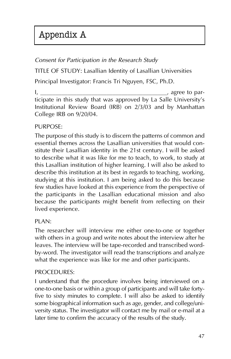# Appendix A

#### *Consent for Participation in the Research Study*

TITLE OF STUDY: Lasallian Identity of Lasallian Universities

Principal Investigator: Francis Tri Nguyen, FSC, Ph.D.

 $I,$ ticipate in this study that was approved by La Salle University's Institutional Review Board (IRB) on 2/3/03 and by Manhattan College IRB on 9/20/04.

#### PURPOSE:

The purpose of this study is to discern the patterns of common and essential themes across the Lasallian universities that would constitute their Lasallian identity in the 21st century. I will be asked to describe what it was like for me to teach, to work, to study at this Lasallian institution of higher learning. I will also be asked to describe this institution at its best in regards to teaching, working, studying at this institution. I am being asked to do this because few studies have looked at this experience from the perspective of the participants in the Lasallian educational mission and also because the participants might benefit from reflecting on their lived experience.

#### PLAN:

The researcher will interview me either one-to-one or together with others in a group and write notes about the interview after he leaves. The interview will be tape-recorded and transcribed wordby-word. The investigator will read the transcriptions and analyze what the experience was like for me and other participants.

#### PROCEDURES:

I understand that the procedure involves being interviewed on a one-to-one basis or within a group of participants and will take fortyfive to sixty minutes to complete. I will also be asked to identify some biographical information such as age, gender, and college/university status. The investigator will contact me by mail or e-mail at a later time to confirm the accuracy of the results of the study.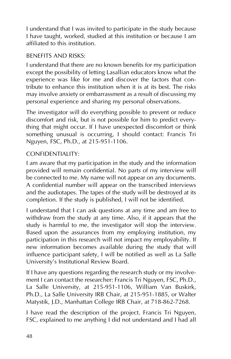I understand that I was invited to participate in the study because I have taught, worked, studied at this institution or because I am affiliated to this institution.

#### BENEFITS AND RISKS:

I understand that there are no known benefits for my participation except the possibility of letting Lasallian educators know what the experience was like for me and discover the factors that contribute to enhance this institution when it is at its best. The risks may involve anxiety or embarrassment as a result of discussing my personal experience and sharing my personal observations.

The investigator will do everything possible to prevent or reduce discomfort and risk, but is not possible for him to predict everything that might occur. If I have unexpected discomfort or think something unusual is occurring, I should contact: Francis Tri Nguyen, FSC, Ph.D., at 215-951-1106.

#### CONFIDENTIALITY:

I am aware that my participation in the study and the information provided will remain confidential. No parts of my interview will be connected to me. My name will not appear on any documents. A confidential number will appear on the transcribed interviews and the audiotapes. The tapes of the study will be destroyed at its completion. If the study is published, I will not be identified.

I understand that I can ask questions at any time and am free to withdraw from the study at any time. Also, if it appears that the study is harmful to me, the investigator will stop the interview. Based upon the assurances from my employing institution, my participation in this research will not impact my employability. If new information becomes available during the study that will influence participant safety, I will be notified as well as La Salle University's Institutional Review Board.

If I have any questions regarding the research study or my involvement I can contact the researcher: Francis Tri Nguyen, FSC, Ph.D., La Salle University, at 215-951-1106, William Van Buskirk, Ph.D., La Salle University IRB Chair, at 215-951-1885, or Walter Matystik, J.D., Manhattan College IRB Chair, at 718-862-7268.

I have read the description of the project. Francis Tri Nguyen, FSC, explained to me anything I did not understand and I had all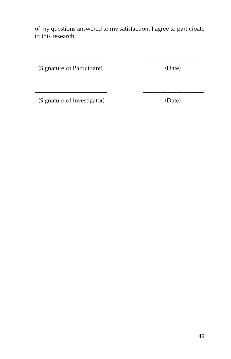of my questions answered to my satisfaction. I agree to participate in this research.

\_\_\_\_\_\_\_\_\_\_\_\_\_\_\_\_\_\_\_\_\_\_\_\_ \_\_\_\_\_\_\_\_\_\_\_\_\_\_\_\_\_\_\_\_

\_\_\_\_\_\_\_\_\_\_\_\_\_\_\_\_\_\_\_\_\_\_\_\_ \_\_\_\_\_\_\_\_\_\_\_\_\_\_\_\_\_\_\_\_

(Signature of Participant) (Date)

(Signature of Investigator) (Date)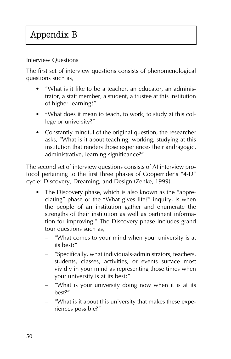# Appendix B

Interview Questions

The first set of interview questions consists of phenomenological questions such as,

- "What is it like to be a teacher, an educator, an administrator, a staff member, a student, a trustee at this institution of higher learning?"
- "What does it mean to teach, to work, to study at this college or university?"
- Constantly mindful of the original question, the researcher asks, "What is it about teaching, working, studying at this institution that renders those experiences their andragogic, administrative, learning significance?"

The second set of interview questions consists of AI interview protocol pertaining to the first three phases of Cooperrider's "4-D" cycle: Discovery, Dreaming, and Design (Zenke, 1999).

- The Discovery phase, which is also known as the "appreciating" phase or the "What gives life?" inquiry, is when the people of an institution gather and enumerate the strengths of their institution as well as pertinent information for improving." The Discovery phase includes grand tour questions such as,
	- "What comes to your mind when your university is at its best?"
	- "Specifically, what individuals-administrators, teachers, students, classes, activities, or events surface most vividly in your mind as representing those times when your university is at its best?"
	- "What is your university doing now when it is at its best?"
	- "What is it about this university that makes these experiences possible?"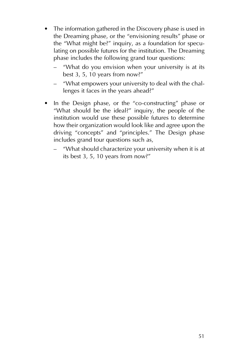- The information gathered in the Discovery phase is used in the Dreaming phase, or the "envisioning results" phase or the "What might be?" inquiry, as a foundation for speculating on possible futures for the institution. The Dreaming phase includes the following grand tour questions:
	- "What do you envision when your university is at its best 3, 5, 10 years from now?"
	- "What empowers your university to deal with the challenges it faces in the years ahead?"
- In the Design phase, or the "co-constructing" phase or "What should be the ideal?" inquiry, the people of the institution would use these possible futures to determine how their organization would look like and agree upon the driving "concepts" and "principles." The Design phase includes grand tour questions such as,
	- "What should characterize your university when it is at its best 3, 5, 10 years from now?"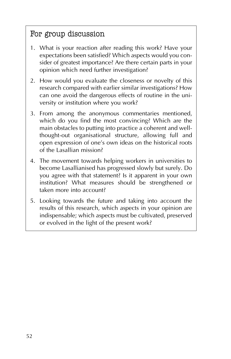# For group discussion

- 1. What is your reaction after reading this work? Have your expectations been satisfied? Which aspects would you consider of greatest importance? Are there certain parts in your opinion which need further investigation?
- 2. How would you evaluate the closeness or novelty of this research compared with earlier similar investigations? How can one avoid the dangerous effects of routine in the university or institution where you work?
- 3. From among the anonymous commentaries mentioned, which do you find the most convincing? Which are the main obstacles to putting into practice a coherent and wellthought-out organisational structure, allowing full and open expression of one's own ideas on the historical roots of the Lasallian mission?
- 4. The movement towards helping workers in universities to become Lasallianised has progressed slowly but surely. Do you agree with that statement? Is it apparent in your own institution? What measures should be strengthened or taken more into account?
- 5. Looking towards the future and taking into account the results of this research, which aspects in your opinion are indispensable; which aspects must be cultivated, preserved or evolved in the light of the present work?